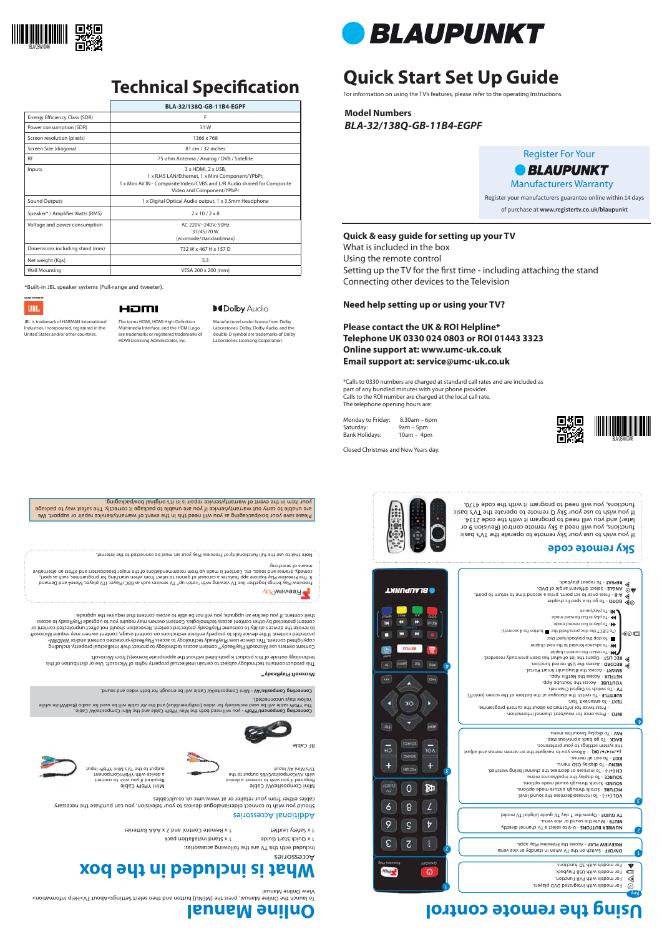# **Quick Start Set Up Guide**

For information on using the TV's features, please refer to the operating Instructions.

**Model Numbers** *BLA-32/138Q-GB-11B4-EGPF*

1 x Remote Control and 2 x AAA Batteries 1 x Safety Leaflet

Please save your box/packaging as you will need this in the event of warranty/service repair or support. We your item in the event of warranty/service repair is in it's original box/packaging.

are unable to carry out warranty/service if you are unable to package it correctly. The safest way to package

1 x Quick Start Guide 1 x Stand installation pack

#### Additional Accessories

Should you wish to connect older/analogue devices to your television, you can purchase the necessary cables either from your retailer or at www.umc-uk.co.uk/cables

Mini Composite/AV Cable Required if you wish to connect a device with With With Avior and the Captaino to the total and TV's Mini AV Input

Mini YPbPr Cable Required if you wish to connect a device with YPbPr/Component output to the TV's Mini YPbPr Input



The YPbPr cable will be used exclusively for video (red/green/blue) and the AV cable will be used for audio (Red/White while

Yellow stays unconnected).

RF Cable

### **Sky remote code**



**Microsoft PlayReady™**

This product contains technology subject to certain intellectual property rights of Microsoft. Use or distribution of this

Setting up the TV for the first time - including attaching the stand Connecting other devices to the Television

technology outside of this product is prohibited without the appropriate license(s) from Microsoft.

 - Switch on the TV when in standby or vice versa. **ON/OFF FREEVIEW PLAY - Access the Freeview Play apps.** 

Content owners use Microsoft PlayReady™ content access technology to protect their intellectual property, including copyrighted content. This device uses PlayReady technology to access PlayReady-protected content and/or WMDRMprotected content. If the device fails to properly enforce restrictions on content usage, content owners may require Microsoft to revoke the device's ability to consume PlayReady-protected content. Revocation should not affect unprotected content or content protected by other content access technologies. Content owners may require you to upgrade PlayReady to access



will need both the Mini YPbPr Cable and the Mini Composite/AV Cable.

Connecting Composite/AV - Mini Composite/AV Cable will be enough for both video and sound.

 - 0–9 to select a TV channel directly. **NUMBER BUTTONS UUTE** - Mute the sound or vice versa.<br>**TV GUIDE** - Opens the 7 day TV guide (digital TV mode).

(\*IMD is not no lower to navigate the on-screen menus and adjust the system settings to your preference. BACK - To go back a previous step. - To display favourites menu. **FAV**

their content. If you decline an upgrade, you will not be able to access content that requires the upgrade.

**- To** restart the current cnapter - To advance forward to the next chapter - To stop the playback/Eject Disc

|                                  | BLA-32/138Q-GB-11B4-EGPF                                                                                                                                                                      |
|----------------------------------|-----------------------------------------------------------------------------------------------------------------------------------------------------------------------------------------------|
| Energy Efficiency Class (SDR)    | F                                                                                                                                                                                             |
| Power consumption (SDR)          | 31W                                                                                                                                                                                           |
| Screen resolution (pixels)       | 1366 x 768                                                                                                                                                                                    |
| Screen Size (diagonal            | 81 cm / 32 inches                                                                                                                                                                             |
| <b>RF</b>                        | 75 ohm Antenna / Analog / DVB / Satellite                                                                                                                                                     |
| Inputs                           | $3 \times$ HDMI, $2 \times$ USB,<br>1 x RJ45 LAN/Ethernet, 1 x Mini Component/YPbPr,<br>1 x Mini AV IN - Composite Video/CVBS and L/R Audio shared for Composite<br>Video and Component/YPbPr |
| Sound Outputs                    | 1 x Digital Optical Audio output, 1 x 3.5mm Headphone                                                                                                                                         |
| Speaker* / Amplifier Watts (RMS) | $2 \times 10 / 2 \times 8$                                                                                                                                                                    |
| Voltage and power consumption    | AC 220V~240V; 50Hz<br>31/45/70W<br>(ecomode/standard/max)                                                                                                                                     |
| Dimensions including stand (mm)  | 732 W x 467 H x 157 D                                                                                                                                                                         |
| Net weight (Kgs)                 | 5.3                                                                                                                                                                                           |
| <b>Wall Mounting</b>             | VESA 200 x 200 (mm)                                                                                                                                                                           |

#### The terms HDMI, HDMI High-Definition Multimedia Interface, and the HDMI Logo are trademarks or registered trademarks of HDMI Licensing Administrator, Inc.

### **MDolby Audio**

#### **Quick & easy guide for setting up your TV**

What is included in the box

Using the remote control

#### **Need help setting up or using your TV?**

Freeview Play brings together live TV viewing with "catch up" TV services such as BBC iPlayer, ITV player, More4 and Demand.<br>5. The Freeview Play Explore app features a carousel of genres to select from when searching for comedy, dramas and soaps, etc. Content is made up from recommendations of the major broadcasters and offers an alternative

### **Please contact the UK & ROI Helpline\* Telephone UK 0330 024 0803 or ROI 01443 3323 Online support at: www.umc-uk.co.uk Email support at: service@umc-uk.co.uk**

\*Calls to 0330 numbers are charged at standard call rates and are included as part of any bundled minutes with your phone provider. Calls to the ROI number are charged at the local call rate. The telephone opening hours are:

Monday to Friday: 8.30am – 6pm Saturday: 9am – 5pm Bank Holidays: 10am – 4pm

Closed Christmas and New Years day.

\*Built-in JBL speaker systems (Full-range and tweeter).



### HDMI

JBL is trademark of HARMAN International Industries, Incorporated, registered in the United States and/or other countries.

Accessories

Included with this TV are the following accessories:

## **What is included in the box**

## **Using the remote control**





 - To increase/decrease the sound level. **VOL (+/-)** - Scrolls through picture mode options. **PICTURE** - Scrolls through sound mode options. **SOUND** - To display the input/source menu. **SOURCE** - To increase or decrease the channel being watched. **CH (+/-)** - To display OSD menu. **MENU** - To exit all menus. **EXIT**

 - Press once for now/next channel information. **INFO**  - Press twice for information about the current programme.

- To enter/exit Text. **TEXT**

- To switch the dialogue at the bottom of the screen (on/off). **SUBTITLE**

- To switch to Digital Channels. **TV**  - Access the Youtube App. **YOUTUBE NETFLIX - Access the Netflix App.** - Access the Blaupunkt Smart Portal. **SMART**  - Access the USB record function. **RECORD**

- Opens the list of what has been previously recorded. **REC LIST**

- Press once to set point, press a second time to return to point. **A-B** - Select different angle of DVD. **ANGLE**

- To repeat playback. **REPEAT**

(To EJECT the disc press/hold the button for 4 seconds)

 - To play in fast rewind mode - To play in fast forward mode - To play/pause



Key

v

⋖

٤

 $\mathbf{\mathit{t}}$ 

◀◎□

2

l

For models with integrated DVD players. For models with PVR Function. For models with USB Playback. For models with 3D functions.

Register For Your *• BLAUPUNKT* Manufacturers Warranty Register your manufacturers guarantee online within 14 days of purchase at **www.registertv.co.uk/blaupunkt**



BLA/QSW/0046

COTO - To go to a specific chapter.



## **Technical Specification**

Manufactured under license from Dolby Laboratories. Dolby, Dolby Audio, and the double-D symbol are trademarks of Dolby Laboratories Licensing Corporation.



means of searching.

**PreeviewPlay** 



Note that to use the full functionality of Freeview Play your set must be connected to the internet.